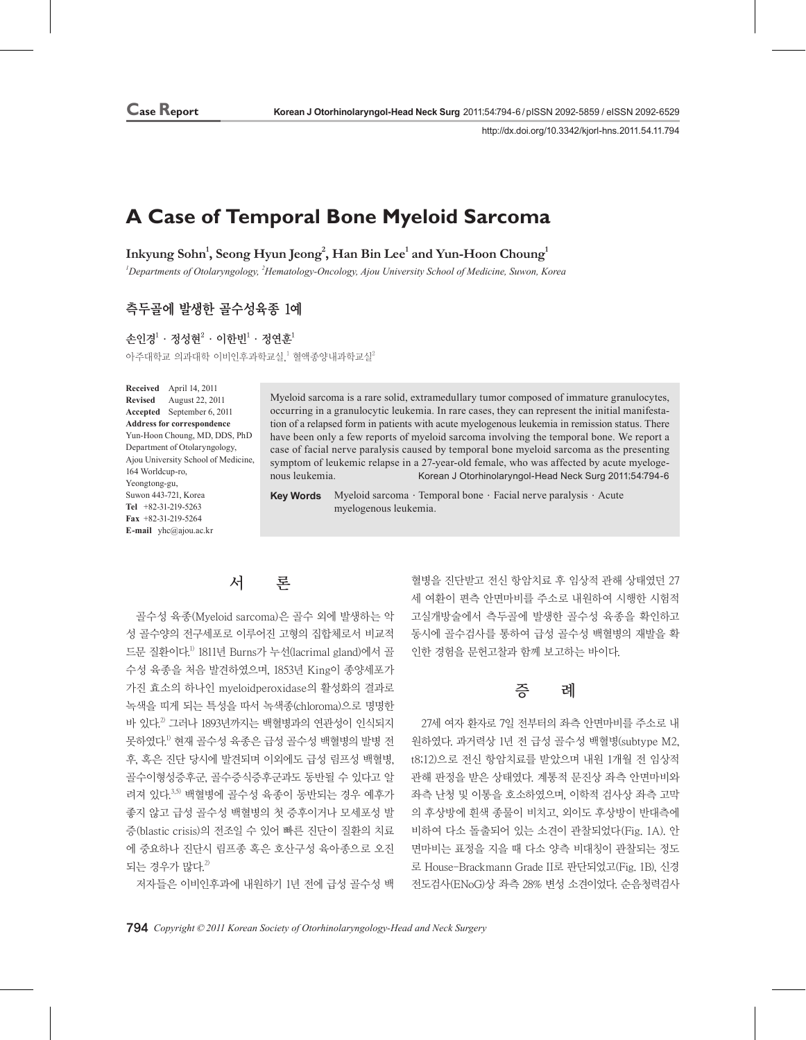http://dx.doi.org/10.3342/kjorl-hns.2011.54.11.794

# **A Case of Temporal Bone Myeloid Sarcoma**

 $\mathbf{I}$ nkyung Sohn $^1$ , Seong Hyun Jeong $^2$ , Han Bin Lee $^1$  and Yun-Hoon Choung $^1$ 

*1 Departments of Otolaryngology, <sup>2</sup> Hematology-Oncology, Ajou University School of Medicine, Suwon, Korea*

### **측두골에 발생한 골수성육종 1예**

손인경 $^1\cdot$  정성현 $^2\cdot$  이한빈 $^1\cdot$  정연훈 $^1$ 아주대학교 의과대학 이비인후과학교실,1 혈액종양내과학교실 $^2$ 

**Received** April 14, 2011 **Revised** August 22, 2011 **Accepted** September 6, 2011 **Address for correspondence** Yun-Hoon Choung, MD, DDS, PhD Department of Otolaryngology, Ajou University School of Medicine, 164 Worldcup-ro, Yeongtong-gu, Suwon 443-721, Korea **Tel**  +82-31-219-5263 **Fax**  +82-31-219-5264 **E-mail**  yhc@ajou.ac.kr

Myeloid sarcoma is a rare solid, extramedullary tumor composed of immature granulocytes, occurring in a granulocytic leukemia. In rare cases, they can represent the initial manifestation of a relapsed form in patients with acute myelogenous leukemia in remission status. There have been only a few reports of myeloid sarcoma involving the temporal bone. We report a case of facial nerve paralysis caused by temporal bone myeloid sarcoma as the presenting symptom of leukemic relapse in a 27-year-old female, who was affected by acute myelogenous leukemia. Korean J Otorhinolaryngol-Head Neck Surg 2011;54:794-6

Key Words Myeloid sarcoma · Temporal bone · Facial nerve paralysis · Acute myelogenous leukemia.

## 서 론

골수성 육종(Myeloid sarcoma)은 골수 외에 발생하는 악 성 골수양의 전구세포로 이루어진 고형의 집합체로서 비교적 드문 질환이다. 1) 1811년 Burns가 누선(lacrimal gland)에서 골 수성 육종을 처음 발견하였으며, 1853년 King이 종양세포가 가진 효소의 하나인 myeloidperoxidase의 활성화의 결과로 녹색을 띠게 되는 특성을 따서 녹색종(chloroma)으로 명명한 바 있다.<sup>2</sup> 그러나 1893년까지는 백혈병과의 연관성이 인식되지 못하였다.<sup>!)</sup> 현재 골수성 육종은 급성 골수성 백혈병의 발병 전 후, 혹은 진단 당시에 발견되며 이외에도 급성 림프성 백혈병, 골수이형성증후군, 골수증식증후군과도 동반될 수 있다고 알 려져 있다. 3,5) 백혈병에 골수성 육종이 동반되는 경우 예후가 좋지 않고 급성 골수성 백혈병의 첫 증후이거나 모세포성 발 증(blastic crisis)의 전조일 수 있어 빠른 진단이 질환의 치료 에 중요하나 진단시 림프종 혹은 호산구성 육아종으로 오진 되는 경우가 많다. $2$ 

저자들은 이비인후과에 내원하기 1년 전에 급성 골수성 백

혈병을 진단받고 전신 항암치료 후 임상적 관해 상태였던 27 세 여환이 편측 안면마비를 주소로 내원하여 시행한 시험적 고실개방술에서 측두골에 발생한 골수성 육종을 확인하고 동시에 골수검사를 통하여 급성 골수성 백혈병의 재발을 확 인한 경험을 문헌고찰과 함께 보고하는 바이다.

### 증 례

27세 여자 환자로 7일 전부터의 좌측 안면마비를 주소로 내 원하였다. 과거력상 1년 전 급성 골수성 백혈병(subtype M2, t8;12)으로 전신 항암치료를 받았으며 내원 1개월 전 임상적 관해 판정을 받은 상태였다. 계통적 문진상 좌측 안면마비와 좌측 난청 및 이통을 호소하였으며, 이학적 검사상 좌측 고막 의 후상방에 흰색 종물이 비치고, 외이도 후상방이 반대측에 비하여 다소 돌출되어 있는 소견이 관찰되었다(Fig. 1A). 안 면마비는 표정을 지을 때 다소 양측 비대칭이 관찰되는 정도 로 House-Brackmann Grade II로 판단되었고(Fig. 1B), 신경 전도검사(ENoG)상 좌측 28% 변성 소견이었다. 순음청력검사

794 *Copyright © 2011 Korean Society of Otorhinolaryngology-Head and Neck Surgery*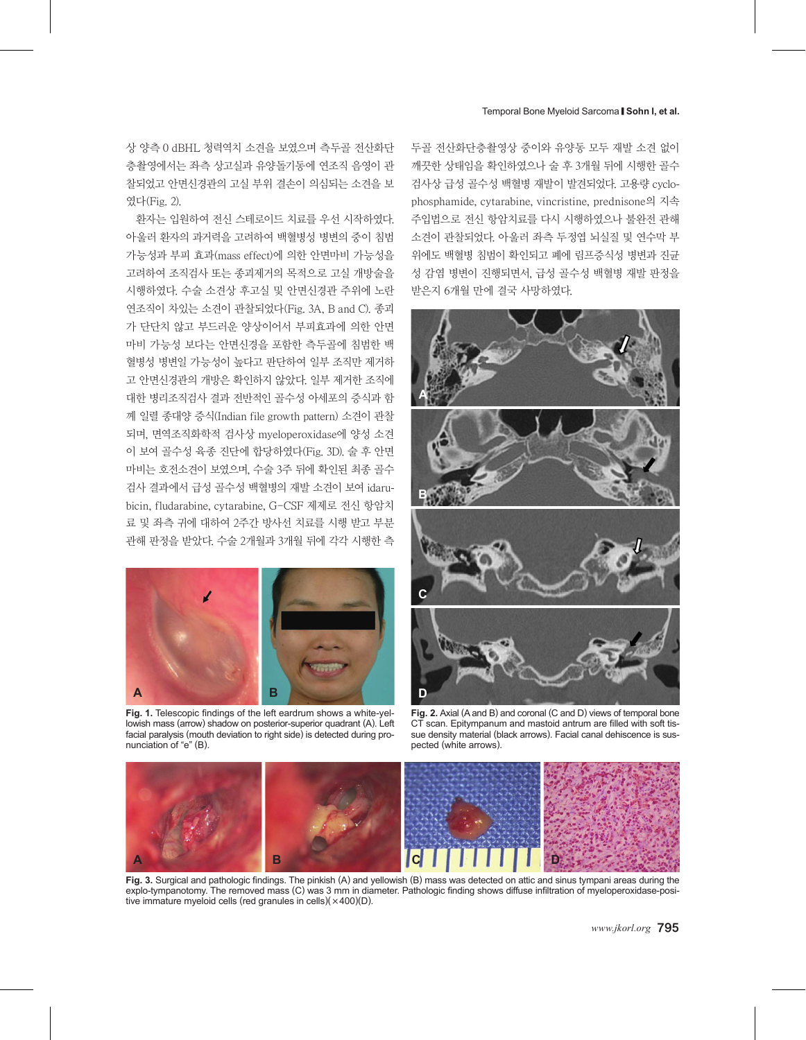#### Temporal Bone Myeloid Sarcoma █ **Sohn I, et al.**

상 양측 0 dBHL 청력역치 소견을 보였으며 측두골 전산화단 층촬영에서는 좌측 상고실과 유양돌기동에 연조직 음영이 관 찰되었고 안면신경관의 고실 부위 결손이 의심되는 소견을 보 였다(Fig. 2).

환자는 입원하여 전신 스테로이드 치료를 우선 시작하였다. 아울러 환자의 과거력을 고려하여 백혈병성 병변의 중이 침범 가능성과 부피 효과(mass effect)에 의한 안면마비 가능성을 고려하여 조직검사 또는 종괴제거의 목적으로 고실 개방술을 시행하였다. 수술 소견상 후고실 및 안면신경관 주위에 노란 연조직이 차있는 소견이 관찰되었다(Fig. 3A, B and C). 종괴 가 단단치 않고 부드러운 양상이어서 부피효과에 의한 안면 마비 가능성 보다는 안면신경을 포함한 측두골에 침범한 백 혈병성 병변일 가능성이 높다고 판단하여 일부 조직만 제거하 고 안면신경관의 개방은 확인하지 않았다. 일부 제거한 조직에 대한 병리조직검사 결과 전반적인 골수성 아세포의 증식과 함 께 일렬 종대양 증식(Indian file growth pattern) 소견이 관찰 되며, 면역조직화학적 검사상 myeloperoxidase에 양성 소견 이 보여 골수성 육종 진단에 합당하였다(Fig. 3D). 술 후 안면 마비는 호전소견이 보였으며, 수술 3주 뒤에 확인된 최종 골수 검사 결과에서 급성 골수성 백혈병의 재발 소견이 보여 idarubicin, fludarabine, cytarabine, G-CSF 제제로 전신 항암치 료 및 좌측 귀에 대하여 2주간 방사선 치료를 시행 받고 부분 관해 판정을 받았다. 수술 2개월과 3개월 뒤에 각각 시행한 측



**Fig. 1.** Telescopic findings of the left eardrum shows a white-yellowish mass (arrow) shadow on posterior-superior quadrant (A). Left facial paralysis (mouth deviation to right side) is detected during pronunciation of "e" (B).

두골 전산화단층촬영상 중이와 유양동 모두 재발 소견 없이 깨끗한 상태임을 확인하였으나 술 후 3개월 뒤에 시행한 골수 검사상 급성 골수성 백혈병 재발이 발견되었다. 고용량 cyclophosphamide, cytarabine, vincristine, prednisone의 지속 주입법으로 전신 항암치료를 다시 시행하였으나 불완전 관해 소견이 관찰되었다. 아울러 좌측 두정엽 뇌실질 및 연수막 부 위에도 백혈병 침범이 확인되고 폐에 림프증식성 병변과 진균 성 감염 병변이 진행되면서, 급성 골수성 백혈병 재발 판정을 받은지 6개월 만에 결국 사망하였다.



**Fig. 2.** Axial (A and B) and coronal (C and D) views of temporal bone CT scan. Epitympanum and mastoid antrum are filled with soft tissue density material (black arrows). Facial canal dehiscence is suspected (white arrows).



**Fig. 3.** Surgical and pathologic findings. The pinkish (A) and yellowish (B) mass was detected on attic and sinus tympani areas during the explo-tympanotomy. The removed mass (C) was 3 mm in diameter. Pathologic finding shows diffuse infiltration of myeloperoxidase-positive immature myeloid cells (red granules in cells) $(\times 400)(D)$ .

*www.jkorl.org* 795